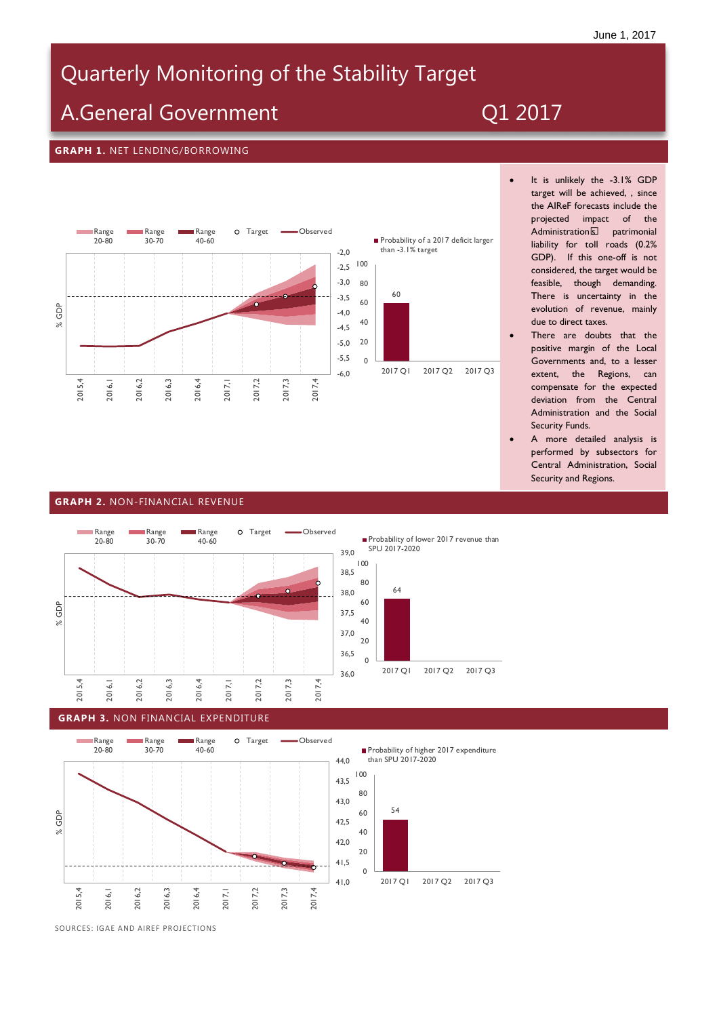# Quarterly Monitoring of the Stability Target **Stability Target**

## A.General Government

## *Enero-Junio 2016*

#### **GRAPH 1.** NET LENDING/BORROWING



- It is unlikely the -3.1% GDP target will be achieved, , since the AIReF forecasts include the projected impact of the<br>Administration's patrimonial Administration's liability for toll roads (0.2% GDP). If this one-off is not considered, the target would be feasible, though demanding. There is uncertainty in the evolution of revenue, mainly due to direct taxes.
- There are doubts that the positive margin of the Local Governments and, to a lesser extent, the Regions, can compensate for the expected deviation from the Central Administration and the Social Security Funds.
- A more detailed analysis is performed by subsectors for Central Administration, Social Security and Regions.

### **GRAPH 2.** NON-FINANCIAL REVENUE



64 20 40 60 80 100

Probability of lower 2017 revenue than

SPU 2017-2020

### $\Omega$ 2017 Q1 2017 Q2 2017 Q3

#### **GRAPH 3.** NON FINANCIAL EXPENDITURE



Probability of higher 2017 expenditure than SPU 2017-2020



SOURCES: IGAE AND AIREF PROJECTIONS